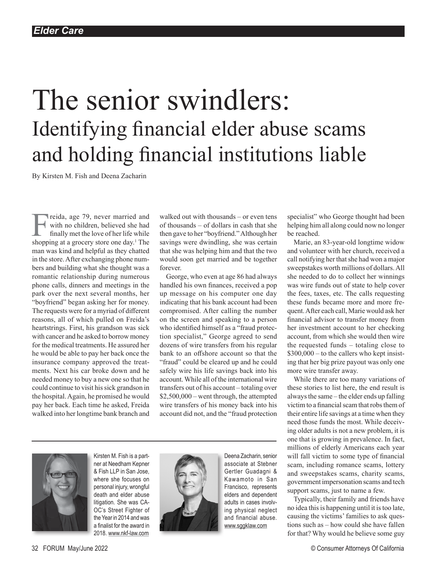# The senior swindlers: Identifying financial elder abuse scams and holding financial institutions liable

By Kirsten M. Fish and Deena Zacharin

Freida, age 79, never married and<br>with no children, believed she had<br>finally met the love of her life while<br>shopping at a grocery store one day<sup>1</sup> The with no children, believed she had finally met the love of her life while shopping at a grocery store one day.<sup>1</sup> The man was kind and helpful as they chatted in the store. After exchanging phone numbers and building what she thought was a romantic relationship during numerous phone calls, dinners and meetings in the park over the next several months, her "boyfriend" began asking her for money. The requests were for a myriad of different reasons, all of which pulled on Freida's heartstrings. First, his grandson was sick with cancer and he asked to borrow money for the medical treatments. He assured her he would be able to pay her back once the insurance company approved the treatments. Next his car broke down and he needed money to buy a new one so that he could continue to visit his sick grandson in the hospital. Again, he promised he would pay her back. Each time he asked, Freida walked into her longtime bank branch and

walked out with thousands – or even tens of thousands – of dollars in cash that she then gave to her "boyfriend." Although her savings were dwindling, she was certain that she was helping him and that the two would soon get married and be together forever.

George, who even at age 86 had always handled his own finances, received a pop up message on his computer one day indicating that his bank account had been compromised. After calling the number on the screen and speaking to a person who identified himself as a "fraud protection specialist," George agreed to send dozens of wire transfers from his regular bank to an offshore account so that the "fraud" could be cleared up and he could safely wire his life savings back into his account. While all of the international wire transfers out of his account – totaling over \$2,500,000 – went through, the attempted wire transfers of his money back into his account did not, and the "fraud protection



Kirsten M. Fish is a partner at Needham Kepner & Fish LLP in San Jose, where she focuses on personal injury, wrongful death and elder abuse litigation. She was CA-OC's Street Fighter of the Year in 2014 and was a finalist for the award in 2018. www.nkf-law.com



Deena Zacharin, senior associate at Stebner Gertler Guadagni & Kawamoto in San Francisco, represents elders and dependent adults in cases involving physical neglect and financial abuse. [www.sggklaw.com](http://www.sggklaw.com)

specialist" who George thought had been helping him all along could now no longer be reached.

Marie, an 83-year-old longtime widow and volunteer with her church, received a call notifying her that she had won a major sweepstakes worth millions of dollars. All she needed to do to collect her winnings was wire funds out of state to help cover the fees, taxes, etc. The calls requesting these funds became more and more frequent. After each call, Marie would ask her financial advisor to transfer money from her investment account to her checking account, from which she would then wire the requested funds – totaling close to  $$300,000 -$  to the callers who kept insisting that her big prize payout was only one more wire transfer away.

While there are too many variations of these stories to list here, the end result is always the same – the elder ends up falling victim to a financial scam that robs them of their entire life savings at a time when they need those funds the most. While deceiving older adults is not a new problem, it is one that is growing in prevalence. In fact, millions of elderly Americans each year will fall victim to some type of financial scam, including romance scams, lottery and sweepstakes scams, charity scams, government impersonation scams and tech support scams, just to name a few.

Typically, their family and friends have no idea this is happening until it is too late, causing the victims' families to ask questions such as – how could she have fallen for that? Why would he believe some guy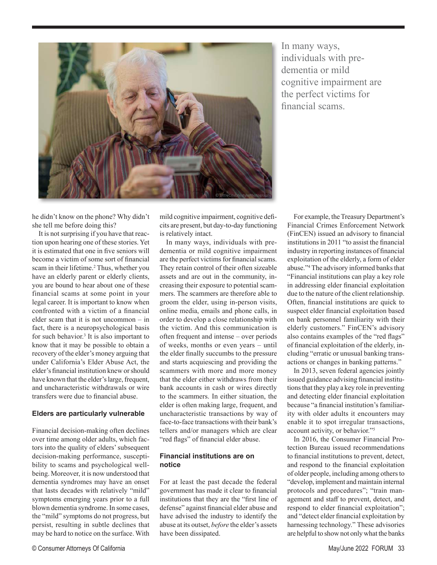

In many ways, individuals with predementia or mild cognitive impairment are the perfect victims for financial scams.

he didn't know on the phone? Why didn't she tell me before doing this?

It is not surprising if you have that reaction upon hearing one of these stories. Yet it is estimated that one in five seniors will become a victim of some sort of financial scam in their lifetime.<sup>2</sup> Thus, whether you have an elderly parent or elderly clients, you are bound to hear about one of these financial scams at some point in your legal career. It is important to know when confronted with a victim of a financial elder scam that it is not uncommon – in fact, there is a neuropsychological basis for such behavior.<sup>3</sup> It is also important to know that it may be possible to obtain a recovery of the elder's money arguing that under California's Elder Abuse Act, the elder's financial institution knew or should have known that the elder's large, frequent, and uncharacteristic withdrawals or wire transfers were due to financial abuse.

### **Elders are particularly vulnerable**

Financial decision-making often declines over time among older adults, which factors into the quality of elders' subsequent decision-making performance, susceptibility to scams and psychological wellbeing. Moreover, it is now understood that dementia syndromes may have an onset that lasts decades with relatively "mild" symptoms emerging years prior to a full blown dementia syndrome. In some cases, the "mild" symptoms do not progress, but persist, resulting in subtle declines that may be hard to notice on the surface. With

mild cognitive impairment, cognitive deficits are present, but day-to-day functioning is relatively intact.

In many ways, individuals with predementia or mild cognitive impairment are the perfect victims for financial scams. They retain control of their often sizeable assets and are out in the community, increasing their exposure to potential scammers. The scammers are therefore able to groom the elder, using in-person visits, online media, emails and phone calls, in order to develop a close relationship with the victim. And this communication is often frequent and intense – over periods of weeks, months or even years – until the elder finally succumbs to the pressure and starts acquiescing and providing the scammers with more and more money that the elder either withdraws from their bank accounts in cash or wires directly to the scammers. In either situation, the elder is often making large, frequent, and uncharacteristic transactions by way of face-to-face transactions with their bank's tellers and/or managers which are clear "red flags" of financial elder abuse.

### **Financial institutions are on notice**

For at least the past decade the federal government has made it clear to financial institutions that they are the "first line of defense" against financial elder abuse and have advised the industry to identify the abuse at its outset, *before* the elder's assets have been dissipated.

For example, the Treasury Department's Financial Crimes Enforcement Network (FinCEN) issued an advisory to financial institutions in 2011 "to assist the financial industry in reporting instances of financial exploitation of the elderly, a form of elder abuse."4 The advisory informed banks that "Financial institutions can play a key role in addressing elder financial exploitation due to the nature of the client relationship. Often, financial institutions are quick to suspect elder financial exploitation based on bank personnel familiarity with their elderly customers." FinCEN's advisory also contains examples of the "red flags" of financial exploitation of the elderly, including "erratic or unusual banking transactions or changes in banking patterns."

In 2013, seven federal agencies jointly issued guidance advising financial institutions that they play a key role in preventing and detecting elder financial exploitation because "a financial institution's familiarity with older adults it encounters may enable it to spot irregular transactions, account activity, or behavior."5

In 2016, the Consumer Financial Protection Bureau issued recommendations to financial institutions to prevent, detect, and respond to the financial exploitation of older people, including among others to "develop, implement and maintain internal protocols and procedures"; "train management and staff to prevent, detect, and respond to elder financial exploitation"; and "detect elder financial exploitation by harnessing technology." These advisories are helpful to show not only what the banks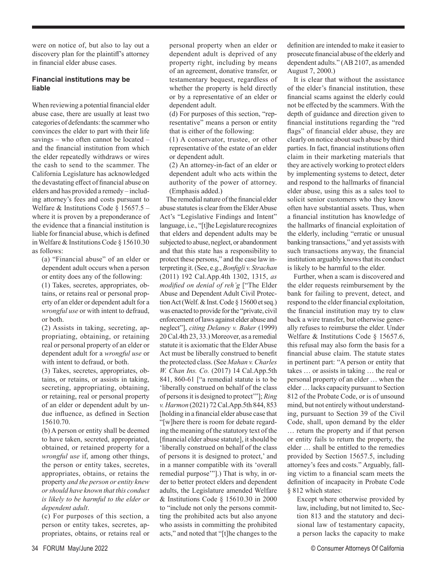were on notice of, but also to lay out a discovery plan for the plaintiff's attorney in financial elder abuse cases.

## **Financial institutions may be liable**

When reviewing a potential financial elder abuse case, there are usually at least two categories of defendants: the scammer who convinces the elder to part with their life savings – who often cannot be located – and the financial institution from which the elder repeatedly withdraws or wires the cash to send to the scammer. The California Legislature has acknowledged the devastating effect of financial abuse on elders and has provided a remedy – including attorney's fees and costs pursuant to Welfare & Institutions Code § 15657.5 – where it is proven by a preponderance of the evidence that a financial institution is liable for financial abuse, which is defined in Welfare & Institutions Code § 15610.30 as follows:

(a) "Financial abuse" of an elder or dependent adult occurs when a person or entity does any of the following:

(1) Takes, secretes, appropriates, obtains, or retains real or personal property of an elder or dependent adult for a *wrongful use* or with intent to defraud, or both.

(2) Assists in taking, secreting, appropriating, obtaining, or retaining real or personal property of an elder or dependent adult for a *wrongful use* or with intent to defraud, or both.

(3) Takes, secretes, appropriates, obtains, or retains, or assists in taking, secreting, appropriating, obtaining, or retaining, real or personal property of an elder or dependent adult by undue influence, as defined in Section 15610.70.

(b) A person or entity shall be deemed to have taken, secreted, appropriated, obtained, or retained property for a *wrongful use* if, among other things, the person or entity takes, secretes, appropriates, obtains, or retains the property *and the person or entity knew or should have known that this conduct is likely to be harmful to the elder or dependent adult*.

(c) For purposes of this section, a person or entity takes, secretes, appropriates, obtains, or retains real or personal property when an elder or dependent adult is deprived of any property right, including by means of an agreement, donative transfer, or testamentary bequest, regardless of whether the property is held directly or by a representative of an elder or dependent adult.

(d) For purposes of this section, "representative" means a person or entity that is either of the following:

(1) A conservator, trustee, or other representative of the estate of an elder or dependent adult.

(2) An attorney-in-fact of an elder or dependent adult who acts within the authority of the power of attorney. (Emphasis added.)

The remedial nature of the financial elder abuse statutes is clear from the Elder Abuse Act's "Legislative Findings and Intent" language, i.e., "[t]he Legislature recognizes that elders and dependent adults may be subjected to abuse, neglect, or abandonment and that this state has a responsibility to protect these persons," and the case law interpreting it. (See, e.g., *Bonfigli v. Strachan* (2011) 192 Cal.App.4th 1302, 1315, *as modified on denial of reh'g* ["The Elder Abuse and Dependent Adult Civil Protection Act (Welf. & Inst. Code § 15600 et seq.) was enacted to provide for the "private, civil enforcement of laws against elder abuse and neglect"], *citing Delaney v. Baker* (1999) 20 Cal.4th 23, 33.) Moreover, as a remedial statute it is axiomatic that the Elder Abuse Act must be liberally construed to benefit the protected class. (See *Mahan v. Charles W. Chan Ins. Co.* (2017) 14 Cal.App.5th 841, 860-61 ["a remedial statute is to be 'liberally construed on behalf of the class of persons it is designed to protect'"]; *Ring v. Harmon* (2021) 72 Cal.App.5th 844, 853 [holding in a financial elder abuse case that "[w]here there is room for debate regarding the meaning of the statutory text of the [financial elder abuse statute], it should be 'liberally construed on behalf of the class of persons it is designed to protect,' and in a manner compatible with its 'overall remedial purpose'"].) That is why, in order to better protect elders and dependent adults, the Legislature amended Welfare & Institutions Code § 15610.30 in 2000 to "include not only the persons committing the prohibited acts but also anyone who assists in committing the prohibited acts," and noted that "[t]he changes to the

definition are intended to make it easier to prosecute financial abuse of the elderly and dependent adults." (AB 2107, as amended August 7, 2000.)

It is clear that without the assistance of the elder's financial institution, these financial scams against the elderly could not be effected by the scammers. With the depth of guidance and direction given to financial institutions regarding the "red flags" of financial elder abuse, they are clearly on notice about such abuse by third parties. In fact, financial institutions often claim in their marketing materials that they are actively working to protect elders by implementing systems to detect, deter and respond to the hallmarks of financial elder abuse, using this as a sales tool to solicit senior customers who they know often have substantial assets. Thus, when a financial institution has knowledge of the hallmarks of financial exploitation of the elderly, including "erratic or unusual banking transactions," and yet assists with such transactions anyway, the financial institution arguably knows that its conduct is likely to be harmful to the elder.

Further, when a scam is discovered and the elder requests reimbursement by the bank for failing to prevent, detect, and respond to the elder financial exploitation, the financial institution may try to claw back a wire transfer, but otherwise generally refuses to reimburse the elder. Under Welfare & Institutions Code § 15657.6, this refusal may also form the basis for a financial abuse claim. The statute states in pertinent part: "A person or entity that takes … or assists in taking … the real or personal property of an elder … when the elder … lacks capacity pursuant to Section 812 of the Probate Code, or is of unsound mind, but not entirely without understanding, pursuant to Section 39 of the Civil Code, shall, upon demand by the elder … return the property and if that person or entity fails to return the property, the elder … shall be entitled to the remedies provided by Section 15657.5, including attorney's fees and costs." Arguably, falling victim to a financial scam meets the definition of incapacity in Probate Code § 812 which states:

Except where otherwise provided by law, including, but not limited to, Section 813 and the statutory and decisional law of testamentary capacity, a person lacks the capacity to make